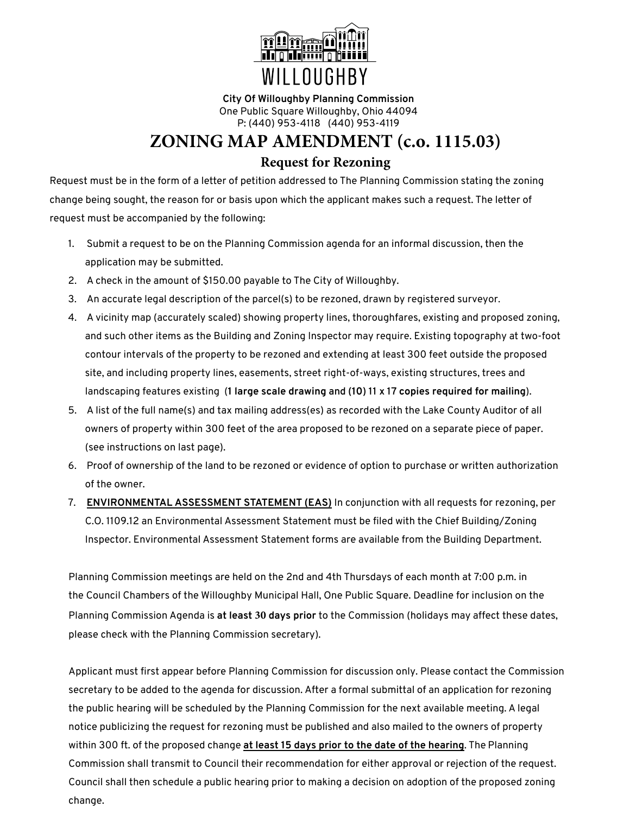

**City Of Willoughby Planning Commission** One Public Square Willoughby, Ohio 44094 P: (440) 953-4118 (440) 953-4119

### **ZONING MAP AMENDMENT (c.o. 1115.03)**

### **Request for Rezoning**

Request must be in the form of a letter of petition addressed to The Planning Commission stating the zoning change being sought, the reason for or basis upon which the applicant makes such a request. The letter of request must be accompanied by the following:

- 1. Submit a request to be on the Planning Commission agenda for an informal discussion, then the application may be submitted.
- 2. A check in the amount of \$150.00 payable to The City of Willoughby.
- 3. An accurate legal description of the parcel(s) to be rezoned, drawn by registered surveyor.
- 4. A vicinity map (accurately scaled) showing property lines, thoroughfares, existing and proposed zoning, and such other items as the Building and Zoning Inspector may require. Existing topography at two-foot contour intervals of the property to be rezoned and extending at least 300 feet outside the proposed site, and including property lines, easements, street right-of-ways, existing structures, trees and landscaping features existing (**1 large scale drawing and (10) 11 x 17 copies required for mailing**).
- 5. A list of the full name(s) and tax mailing address(es) as recorded with the Lake County Auditor of all owners of property within 300 feet of the area proposed to be rezoned on a separate piece of paper. (see instructions on last page).
- 6. Proof of ownership of the land to be rezoned or evidence of option to purchase or written authorization of the owner.
- 7. **ENVIRONMENTAL ASSESSMENT STATEMENT (EAS)** In conjunction with all requests for rezoning, per C.O. 1109.12 an Environmental Assessment Statement must be filed with the Chief Building/Zoning Inspector. Environmental Assessment Statement forms are available from the Building Department.

Planning Commission meetings are held on the 2nd and 4th Thursdays of each month at 7:00 p.m. in the Council Chambers of the Willoughby Municipal Hall, One Public Square. Deadline for inclusion on the Planning Commission Agenda is **at least 30 days prior** to the Commission (holidays may affect these dates, please check with the Planning Commission secretary).

Applicant must first appear before Planning Commission for discussion only. Please contact the Commission secretary to be added to the agenda for discussion. After a formal submittal of an application for rezoning the public hearing will be scheduled by the Planning Commission for the next available meeting. A legal notice publicizing the request for rezoning must be published and also mailed to the owners of property within 300 ft. of the proposed change **at least 15 days prior to the date of the hearing**. The Planning Commission shall transmit to Council their recommendation for either approval or rejection of the request. Council shall then schedule a public hearing prior to making a decision on adoption of the proposed zoning change.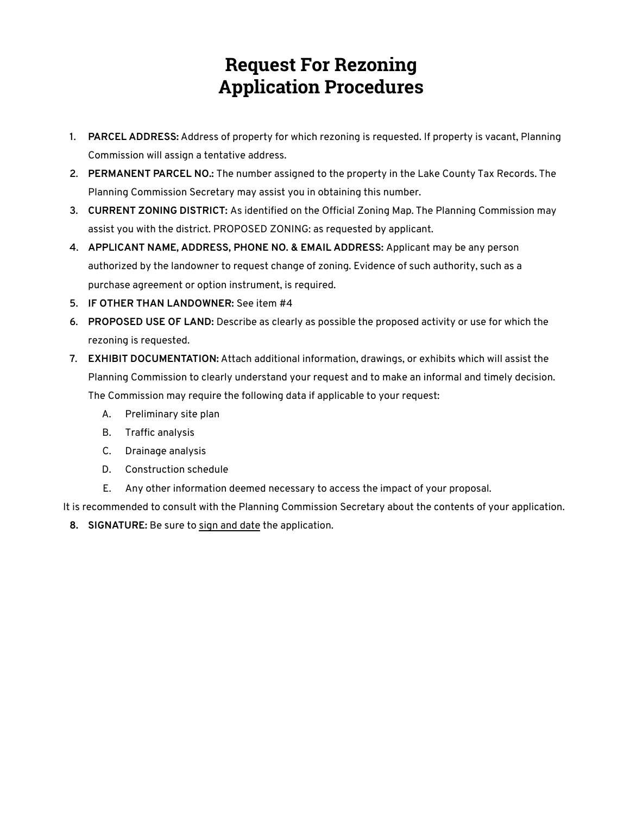# **Request For Rezoning Application Procedures**

- **1. PARCEL ADDRESS:** Address of property for which rezoning is requested. If property is vacant, Planning Commission will assign a tentative address.
- **2. PERMANENT PARCEL NO.:** The number assigned to the property in the Lake County Tax Records. The Planning Commission Secretary may assist you in obtaining this number.
- **3. CURRENT ZONING DISTRICT:** As identified on the Official Zoning Map. The Planning Commission may assist you with the district. PROPOSED ZONING: as requested by applicant.
- **4. APPLICANT NAME, ADDRESS, PHONE NO. & EMAIL ADDRESS:** Applicant may be any person authorized by the landowner to request change of zoning. Evidence of such authority, such as a purchase agreement or option instrument, is required.
- **5. IF OTHER THAN LANDOWNER:** See item #4
- **6. PROPOSED USE OF LAND:** Describe as clearly as possible the proposed activity or use for which the rezoning is requested.
- **7. EXHIBIT DOCUMENTATION:** Attach additional information, drawings, or exhibits which will assist the Planning Commission to clearly understand your request and to make an informal and timely decision. The Commission may require the following data if applicable to your request:
	- A. Preliminary site plan
	- B. Traffic analysis
	- C. Drainage analysis
	- D. Construction schedule
	- E. Any other information deemed necessary to access the impact of your proposal.

It is recommended to consult with the Planning Commission Secretary about the contents of your application.

**8. SIGNATURE:** Be sure to sign and date the application.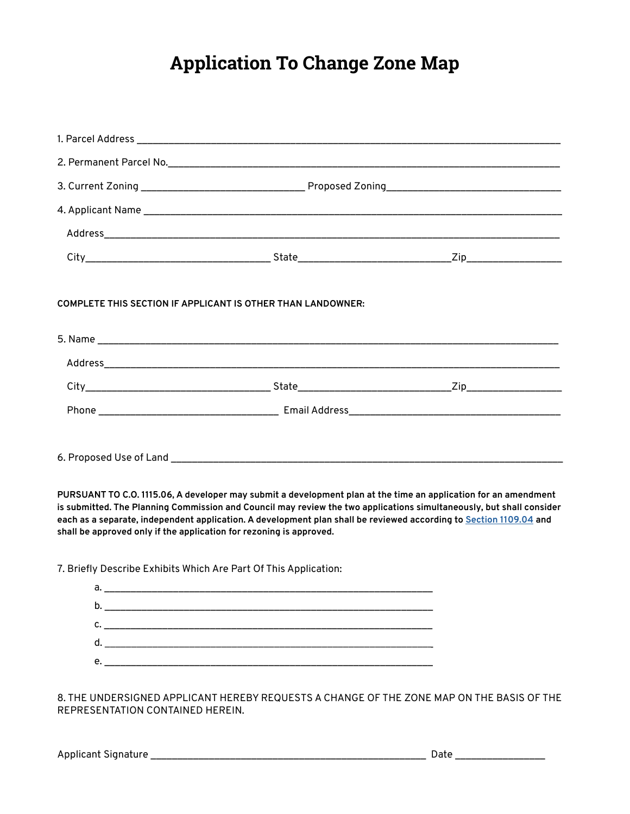# **Application To Change Zone Map**

**PURSUANT TO C.O. 1115.06, A developer may submit a development plan at the time an application for an amendment is submitted. The Planning Commission and Council may review the two applications simultaneously, but shall consider each as a separate, independent application. A development plan shall be reviewed according to [Section 1109.04](http://www.amlegal.com/walter-h-drane-codes/?f=jumplink$jumplink_x=Advanced$jumplink_vpc=first$jumplink_xsl=querylink.xsl$jumplink_sel=title;path;content-type;home-title;item-bookmark$jumplink_d=%7bwilloby%7d$jumplink_q=%5bfield%20folio-destination-name:%271109.04%27%5d$jumplink_md=target-id=0-0-0-2947) and shall be approved only if the application for rezoning is approved.**

7. Briefly Describe Exhibits Which Are Part Of This Application:

| a. |    |
|----|----|
| b. |    |
| c. |    |
|    | d. |
| e. |    |
|    |    |

8. THE UNDERSIGNED APPLICANT HEREBY REQUESTS A CHANGE OF THE ZONE MAP ON THE BASIS OF THE REPRESENTATION CONTAINED HEREIN.

Applicant Signature \_\_\_\_\_\_\_\_\_\_\_\_\_\_\_\_\_\_\_\_\_\_\_\_\_\_\_\_\_\_\_\_\_\_\_\_\_\_\_\_\_\_\_\_\_\_\_\_\_\_\_\_ Date \_\_\_\_\_\_\_\_\_\_\_\_\_\_\_\_\_